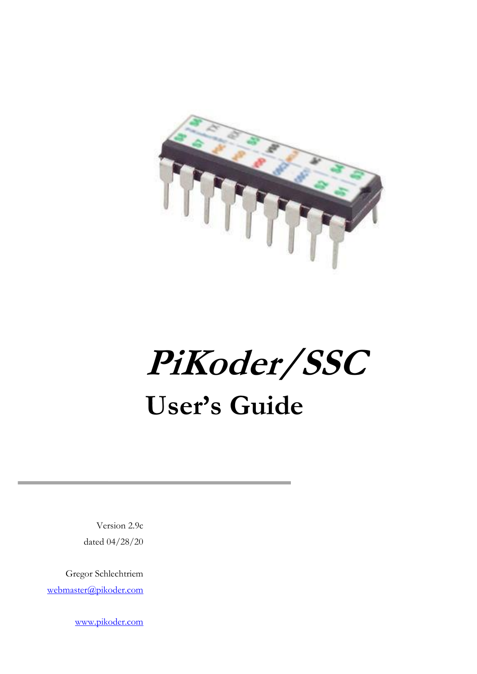

**PiKoder/SSC User's Guide**

Version 2.9c dated 04/28/20

Gregor Schlechtriem [webmaster@pikoder.com](mailto:webmaster@pikoder.com)

[www.pikoder.com](http://www.pikoder.com/)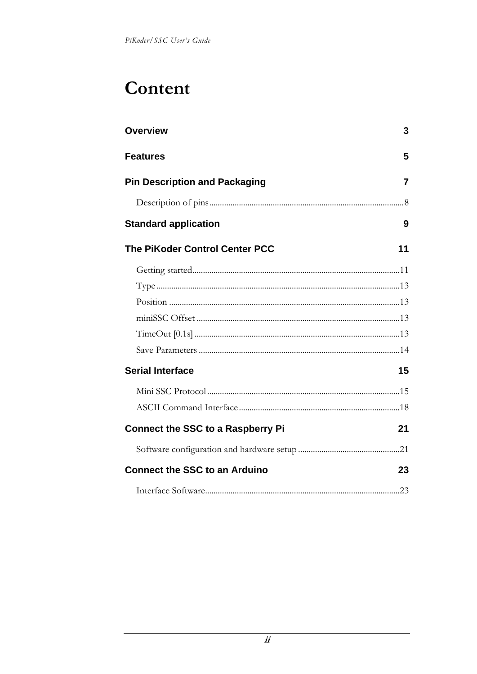## Content

| <b>Overview</b>                          | 3  |
|------------------------------------------|----|
| <b>Features</b>                          | 5  |
| <b>Pin Description and Packaging</b>     | 7  |
|                                          |    |
| <b>Standard application</b>              | 9  |
| <b>The PiKoder Control Center PCC</b>    | 11 |
|                                          |    |
|                                          |    |
|                                          |    |
|                                          |    |
|                                          |    |
|                                          |    |
| <b>Serial Interface</b>                  | 15 |
|                                          |    |
|                                          |    |
| <b>Connect the SSC to a Raspberry Pi</b> | 21 |
|                                          |    |
| <b>Connect the SSC to an Arduino</b>     | 23 |
|                                          |    |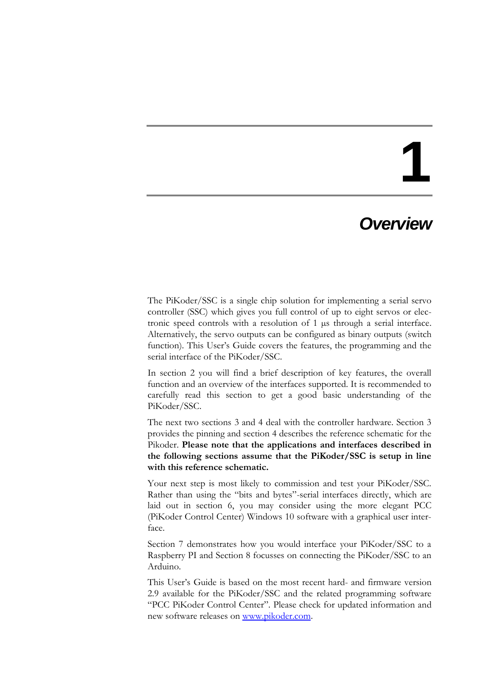### *Overview*

The PiKoder/SSC is a single chip solution for implementing a serial servo controller (SSC) which gives you full control of up to eight servos or electronic speed controls with a resolution of 1 µs through a serial interface. Alternatively, the servo outputs can be configured as binary outputs (switch function). This User's Guide covers the features, the programming and the serial interface of the PiKoder/SSC.

In section 2 you will find a brief description of key features, the overall function and an overview of the interfaces supported. It is recommended to carefully read this section to get a good basic understanding of the PiKoder/SSC.

The next two sections 3 and 4 deal with the controller hardware. Section 3 provides the pinning and section 4 describes the reference schematic for the Pikoder. **Please note that the applications and interfaces described in the following sections assume that the PiKoder/SSC is setup in line with this reference schematic.**

Your next step is most likely to commission and test your PiKoder/SSC. Rather than using the "bits and bytes"-serial interfaces directly, which are laid out in section 6, you may consider using the more elegant PCC (PiKoder Control Center) Windows 10 software with a graphical user interface.

Section 7 demonstrates how you would interface your PiKoder/SSC to a Raspberry PI and Section 8 focusses on connecting the PiKoder/SSC to an Arduino.

This User's Guide is based on the most recent hard- and firmware version 2.9 available for the PiKoder/SSC and the related programming software "PCC PiKoder Control Center". Please check for updated information and new software releases on [www.pikoder.com.](http://www.pikoder.com/)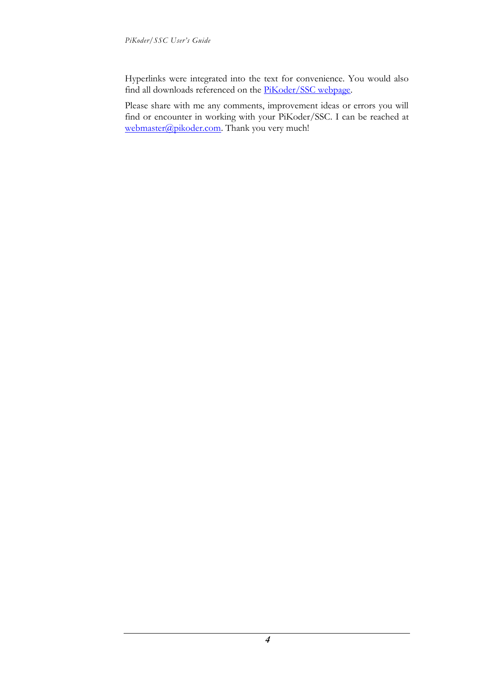Hyperlinks were integrated into the text for convenience. You would also find all downloads referenced on the [PiKoder/SSC webpage.](http://www.pikoder.de/PiKoder_SSC_EN.htm)

Please share with me any comments, improvement ideas or errors you will find or encounter in working with your PiKoder/SSC. I can be reached at [webmaster@pikoder.com.](mailto:webmaster@pikoder.com) Thank you very much!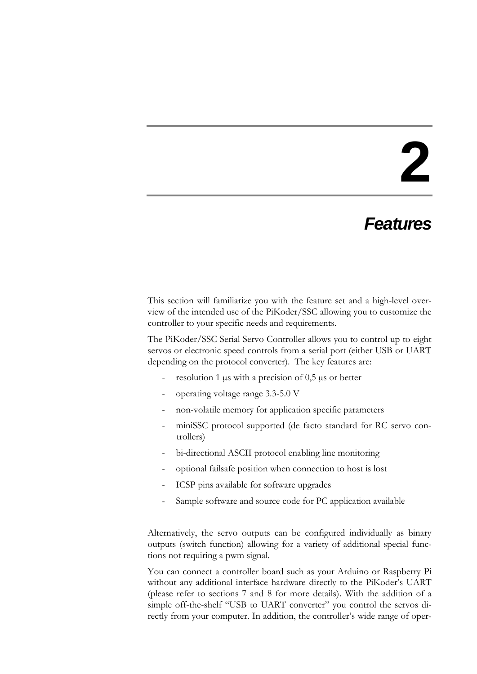### *Features*

This section will familiarize you with the feature set and a high-level overview of the intended use of the PiKoder/SSC allowing you to customize the controller to your specific needs and requirements.

The PiKoder/SSC Serial Servo Controller allows you to control up to eight servos or electronic speed controls from a serial port (either USB or UART depending on the protocol converter). The key features are:

- resolution 1  $\mu$ s with a precision of 0,5  $\mu$ s or better
- operating voltage range 3.3-5.0 V
- non-volatile memory for application specific parameters
- miniSSC protocol supported (de facto standard for RC servo controllers)
- bi-directional ASCII protocol enabling line monitoring
- optional failsafe position when connection to host is lost
- ICSP pins available for software upgrades
- Sample software and source code for PC application available

Alternatively, the servo outputs can be configured individually as binary outputs (switch function) allowing for a variety of additional special functions not requiring a pwm signal.

You can connect a controller board such as your Arduino or Raspberry Pi without any additional interface hardware directly to the PiKoder's UART (please refer to sections 7 and 8 for more details). With the addition of a simple off-the-shelf "USB to UART converter" you control the servos directly from your computer. In addition, the controller's wide range of oper-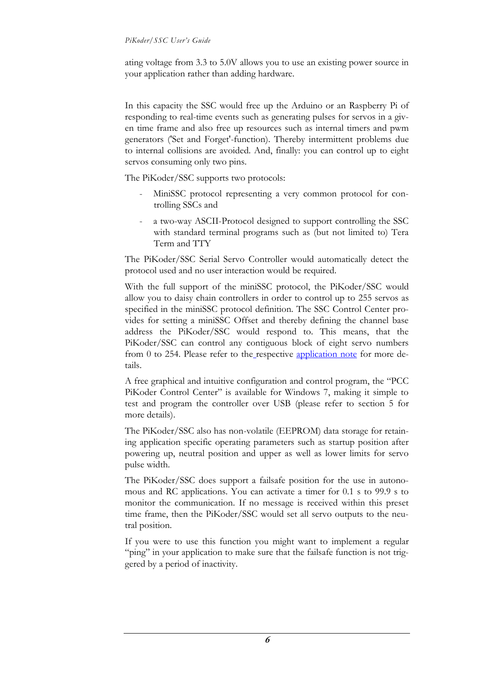#### *PiKoder/SSC User's Guide*

ating voltage from 3.3 to 5.0V allows you to use an existing power source in your application rather than adding hardware.

In this capacity the SSC would free up the Arduino or an Raspberry Pi of responding to real-time events such as generating pulses for servos in a given time frame and also free up resources such as internal timers and pwm generators ('Set and Forget'-function). Thereby intermittent problems due to internal collisions are avoided. And, finally: you can control up to eight servos consuming only two pins.

The PiKoder/SSC supports two protocols:

- MiniSSC protocol representing a very common protocol for controlling SSCs and
- a two-way ASCII-Protocol designed to support controlling the SSC with standard terminal programs such as (but not limited to) Tera Term and TTY

The PiKoder/SSC Serial Servo Controller would automatically detect the protocol used and no user interaction would be required.

With the full support of the miniSSC protocol, the PiKoder/SSC would allow you to daisy chain controllers in order to control up to 255 servos as specified in the miniSSC protocol definition. The SSC Control Center provides for setting a miniSSC Offset and thereby defining the channel base address the PiKoder/SSC would respond to. This means, that the PiKoder/SSC can control any contiguous block of eight servo numbers from 0 to 254. Please refer to the respective [application note](http://www.pikoder.de/download/AN02%20-%20Daisy%20Chaining.pdf) for more details.

A free graphical and intuitive configuration and control program, the "PCC PiKoder Control Center" is available for Windows 7, making it simple to test and program the controller over USB (please refer to section 5 for more details).

The PiKoder/SSC also has non-volatile (EEPROM) data storage for retaining application specific operating parameters such as startup position after powering up, neutral position and upper as well as lower limits for servo pulse width.

The PiKoder/SSC does support a failsafe position for the use in autonomous and RC applications. You can activate a timer for 0.1 s to 99.9 s to monitor the communication. If no message is received within this preset time frame, then the PiKoder/SSC would set all servo outputs to the neutral position.

If you were to use this function you might want to implement a regular "ping" in your application to make sure that the failsafe function is not triggered by a period of inactivity.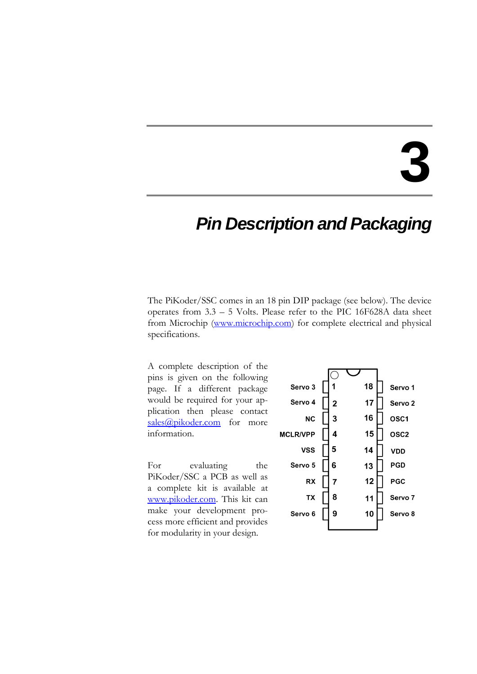### *Pin Description and Packaging*

The PiKoder/SSC comes in an 18 pin DIP package (see below). The device operates from 3.3 – 5 Volts. Please refer to the PIC 16F628A data sheet from Microchip [\(www.microchip.com\)](http://www.microchip.com/) for complete electrical and physical specifications.

A complete description of the pins is given on the following page. If a different package would be required for your application then please contact  $sales@pikoder.com$  for more information.

For evaluating the PiKoder/SSC a PCB as well as a complete kit is available at [www.pikoder.com.](http://www.pikoder.com/) This kit can make your development process more efficient and provides for modularity in your design.

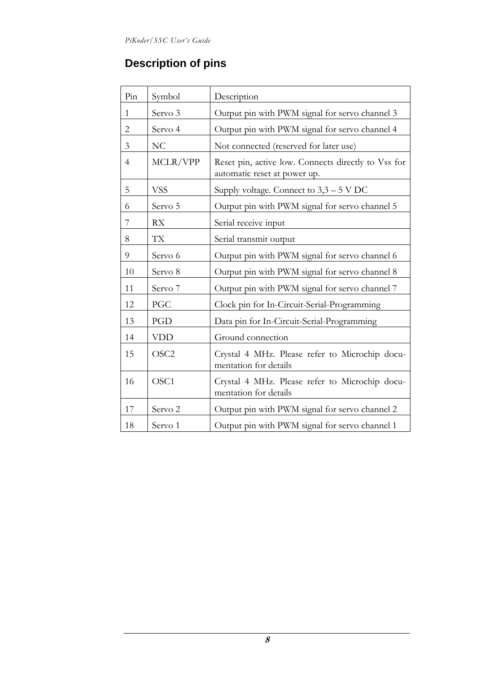### **Description of pins**

| Pin            | Symbol             | Description                                                                         |  |
|----------------|--------------------|-------------------------------------------------------------------------------------|--|
| $\mathbf{1}$   | Servo 3            | Output pin with PWM signal for servo channel 3                                      |  |
| $\overline{2}$ | Servo 4            | Output pin with PWM signal for servo channel 4                                      |  |
| 3              | NC                 | Not connected (reserved for later use)                                              |  |
| $\overline{4}$ | MCLR/VPP           | Reset pin, active low. Connects directly to Vss for<br>automatic reset at power up. |  |
| 5              | <b>VSS</b>         | Supply voltage. Connect to $3,3-5$ V DC                                             |  |
| 6              | Servo 5            | Output pin with PWM signal for servo channel 5                                      |  |
| 7              | <b>RX</b>          | Serial receive input                                                                |  |
| 8              | TX                 | Serial transmit output                                                              |  |
| 9              | Servo 6            | Output pin with PWM signal for servo channel 6                                      |  |
| 10             | Servo 8            | Output pin with PWM signal for servo channel 8                                      |  |
| 11             | Servo 7            | Output pin with PWM signal for servo channel 7                                      |  |
| 12             | PGC                | Clock pin for In-Circuit-Serial-Programming                                         |  |
| 13             | PGD                | Data pin for In-Circuit-Serial-Programming                                          |  |
| 14             | <b>VDD</b>         | Ground connection                                                                   |  |
| 15             | OSC <sub>2</sub>   | Crystal 4 MHz. Please refer to Microchip docu-<br>mentation for details             |  |
| 16             | OSC1               | Crystal 4 MHz. Please refer to Microchip docu-<br>mentation for details             |  |
| 17             | Servo <sub>2</sub> | Output pin with PWM signal for servo channel 2                                      |  |
| 18             | Servo 1            | Output pin with PWM signal for servo channel 1                                      |  |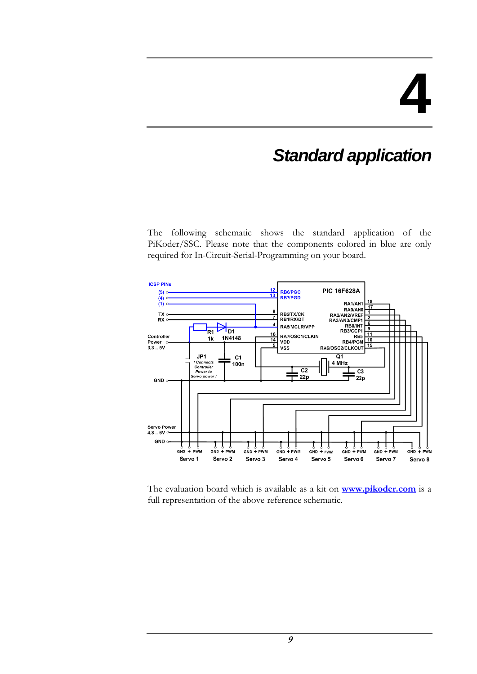## *Standard application*

The following schematic shows the standard application of the PiKoder/SSC. Please note that the components colored in blue are only required for In-Circuit-Serial-Programming on your board.



The evaluation board which is available as a kit on **[www.pikoder.com](http://www.pikoder.com/)** is a full representation of the above reference schematic.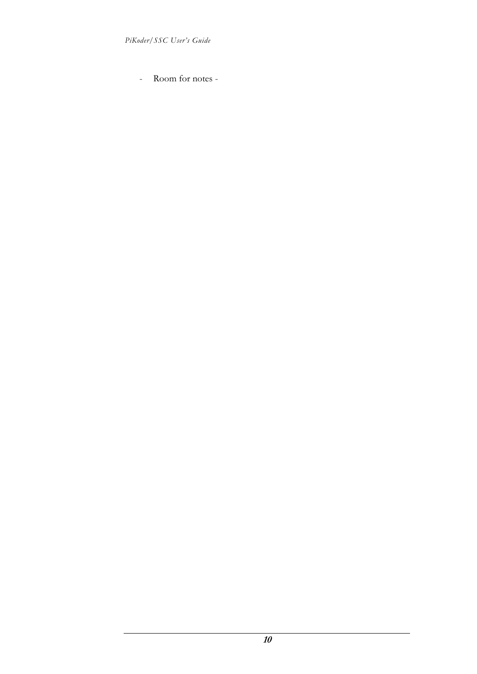- Room for notes -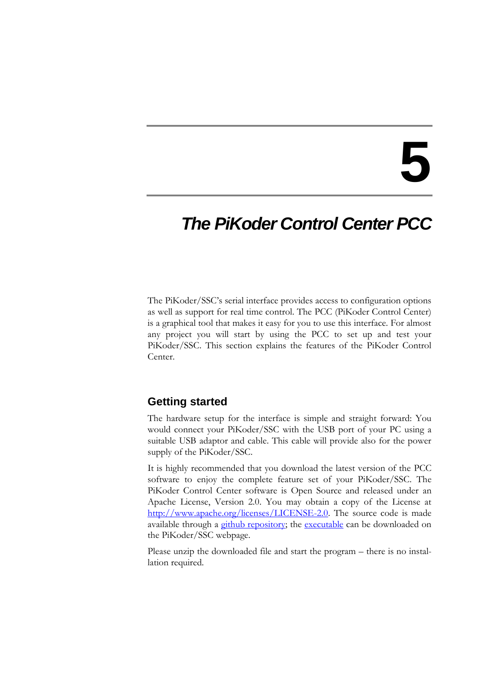## *The PiKoder Control Center PCC*

The PiKoder/SSC's serial interface provides access to configuration options as well as support for real time control. The PCC (PiKoder Control Center) is a graphical tool that makes it easy for you to use this interface. For almost any project you will start by using the PCC to set up and test your PiKoder/SSC. This section explains the features of the PiKoder Control Center.

### **Getting started**

The hardware setup for the interface is simple and straight forward: You would connect your PiKoder/SSC with the USB port of your PC using a suitable USB adaptor and cable. This cable will provide also for the power supply of the PiKoder/SSC.

It is highly recommended that you download the latest version of the PCC software to enjoy the complete feature set of your PiKoder/SSC. The PiKoder Control Center software is Open Source and released under an Apache License, Version 2.0. You may obtain a copy of the License at [http://www.apache.org/licenses/LICENSE-2.0.](http://www.apache.org/licenses/LICENSE-2.0) The source code is made available through a [github repository;](https://github.com/Pikoder/PCC_PiKoder_Control_Center) the [executable](http://www.pikoder.de/download/PCC%20PiKoder%20Control%20Center.zip) can be downloaded on the PiKoder/SSC webpage.

Please unzip the downloaded file and start the program – there is no installation required.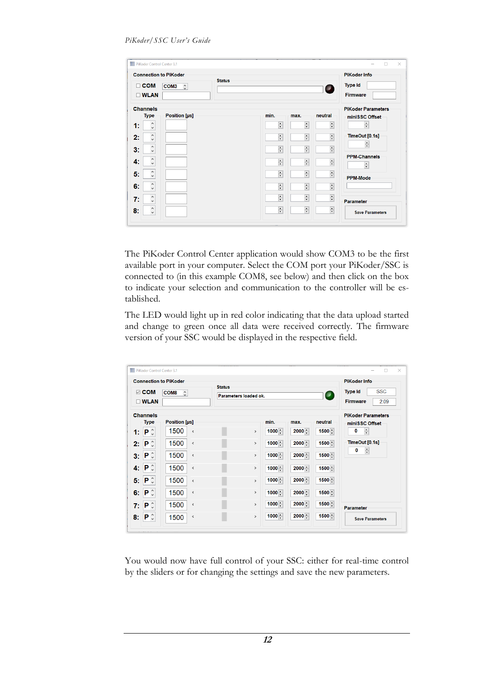|    |                                 | <b>Connection to PiKoder</b>  | <b>Status</b> |                           |                           |                          | <b>PiKoder Info</b>           |
|----|---------------------------------|-------------------------------|---------------|---------------------------|---------------------------|--------------------------|-------------------------------|
|    | $\Box$ COM<br><b>WLAN</b>       | COM <sub>3</sub><br>$\hat{z}$ |               |                           |                           | $\bullet$                | <b>Type Id</b><br>Firmware    |
|    | <b>Channels</b>                 |                               |               |                           |                           |                          | <b>PiKoder Parameters</b>     |
|    | <b>Type</b>                     | Position [µs]                 |               | min.                      | max.                      | neutral                  | miniSSC Offset                |
| 1: | $\land$<br>v                    |                               |               | ÷                         | $\div$                    | $\div$                   | ÷                             |
| 2: | $\hat{}$<br>$\checkmark$        |                               |               | $\frac{\bullet}{\bullet}$ | $\frac{\bullet}{\bullet}$ | $\frac{1}{\bullet}$      | TimeOut [0.1s]                |
| 3: | $\land$<br>$\checkmark$         |                               |               | $\frac{\star}{\star}$     | $\frac{\bullet}{\bullet}$ | $\div$                   | ÷                             |
| 4: | $\hat{\cdot}$                   |                               |               | $\frac{\star}{\star}$     | $\div$                    | $\div$                   | <b>PPM-Channels</b><br>$\div$ |
| 5. | $\land$<br>$\checkmark$         |                               |               | $\frac{1}{\sqrt{2}}$      | F                         | $\div$                   | <b>PPM-Mode</b>               |
| 6. | ٨<br>$\checkmark$               |                               |               | $\frac{1}{\pi}$           | $\div$                    | $\overline{\phantom{a}}$ |                               |
| 7: | $\land$<br>$\checkmark$         |                               |               | $\div$                    | $\frac{1}{\tau}$          | $\div$                   | <b>Parameter</b>              |
| 8: | $\hat{}$<br>$\ddot{\mathbf{v}}$ |                               |               | $\frac{1}{\sqrt{2}}$      | $\frac{\bullet}{\bullet}$ | $\div$                   | <b>Save Parameters</b>        |

The PiKoder Control Center application would show COM3 to be the first available port in your computer. Select the COM port your PiKoder/SSC is connected to (in this example COM8, see below) and then click on the box to indicate your selection and communication to the controller will be established.

The LED would light up in red color indicating that the data upload started and change to green once all data were received correctly. The firmware version of your SSC would be displayed in the respective field.

|                |                                        | <b>Connection to PiKoder</b>      | <b>Status</b>         |            |          |                          | <b>PiKoder Info</b>          |
|----------------|----------------------------------------|-----------------------------------|-----------------------|------------|----------|--------------------------|------------------------------|
|                | $\boxdot$ COM                          | COM <sub>8</sub><br>$\hat{\cdot}$ | Parameters loaded ok. |            |          | $\overline{\phantom{a}}$ | <b>SSC</b><br><b>Type Id</b> |
|                | $\square$ WLAN                         |                                   |                       |            |          |                          | <b>Firmware</b><br>2.09      |
|                | <b>Channels</b>                        |                                   |                       |            |          |                          | <b>PiKoder Parameters</b>    |
|                | <b>Type</b>                            | <b>Position [µs]</b>              |                       | min.       | max.     | neutral                  | miniSSC Offset               |
| 1:             | $\mathbf{P} \circ$                     | 1500<br>$\hat{}$                  | $\,$                  | $1000 -$   | $2000 -$ | $1500 -$                 | $\div$<br>0                  |
| 2:             | $\mathsf{P} \mathop{}_{\circ}^{\circ}$ | 1500<br>$\hat{~}$                 | $\rightarrow$         | 1000       | 2000     | $1500 -$                 | TimeOut [0.1s]               |
| 3:             | $\mathbf{P} \mathop{}_{\circ}^{\circ}$ | 1500<br>$\hat{~}$                 | $\rightarrow$         | 1000       | $2000 -$ | $1500 -$                 | 0<br>$\div$                  |
| 4.             | $\mathsf{P} \mathop{}_{\circ}^{\circ}$ | 1500<br>$\,<$                     | $\,$                  | $1000 -$   | $2000 -$ | $1500 -$                 |                              |
| 5 <sup>1</sup> | $\mathbf{P} \circ$                     | 1500<br>$\epsilon$                | $\rightarrow$         | $1000 -$   | 2000     | 1500                     |                              |
| 6:             | $\mathbf{P} \circ$                     | 1500<br>$\checkmark$              | $\rightarrow$         | $1000 -$   | $2000 -$ | $1500 -$                 |                              |
| 7:             | $\mathsf{P} \mathop{}_{\circ}^{\circ}$ | 1500<br>$\,<$                     | $\rightarrow$         | $1000 -$   | $2000 -$ | $1500 -$                 | <b>Parameter</b>             |
| 8:             | $\mathbf{P} \mathop{}_{\circ}^{\circ}$ | 1500<br>$\,<\,$                   | $\,$                  | $1000$ $-$ | $2000 -$ | $1500 -$                 | <b>Save Parameters</b>       |

You would now have full control of your SSC: either for real-time control by the sliders or for changing the settings and save the new parameters.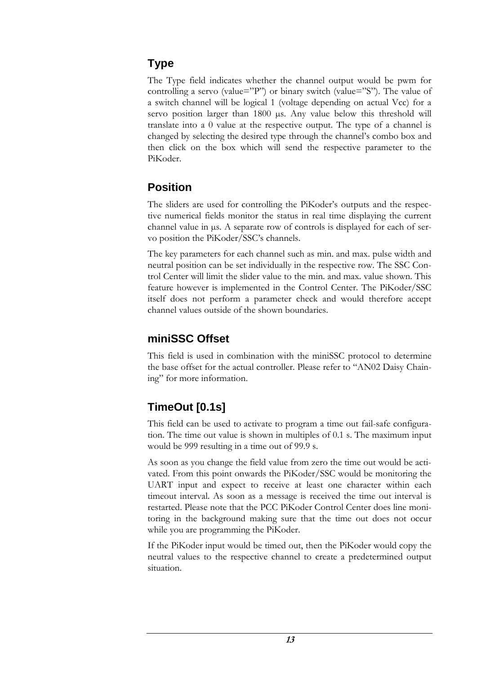### **Type**

The Type field indicates whether the channel output would be pwm for controlling a servo (value="P") or binary switch (value="S"). The value of a switch channel will be logical 1 (voltage depending on actual Vcc) for a servo position larger than 1800 µs. Any value below this threshold will translate into a 0 value at the respective output. The type of a channel is changed by selecting the desired type through the channel's combo box and then click on the box which will send the respective parameter to the PiKoder.

### **Position**

The sliders are used for controlling the PiKoder's outputs and the respective numerical fields monitor the status in real time displaying the current channel value in µs. A separate row of controls is displayed for each of servo position the PiKoder/SSC's channels.

The key parameters for each channel such as min. and max. pulse width and neutral position can be set individually in the respective row. The SSC Control Center will limit the slider value to the min. and max. value shown. This feature however is implemented in the Control Center. The PiKoder/SSC itself does not perform a parameter check and would therefore accept channel values outside of the shown boundaries.

### **miniSSC Offset**

This field is used in combination with the miniSSC protocol to determine the base offset for the actual controller. Please refer to "AN02 Daisy Chaining" for more information.

### **TimeOut [0.1s]**

This field can be used to activate to program a time out fail-safe configuration. The time out value is shown in multiples of 0.1 s. The maximum input would be 999 resulting in a time out of 99.9 s.

As soon as you change the field value from zero the time out would be activated. From this point onwards the PiKoder/SSC would be monitoring the UART input and expect to receive at least one character within each timeout interval. As soon as a message is received the time out interval is restarted. Please note that the PCC PiKoder Control Center does line monitoring in the background making sure that the time out does not occur while you are programming the PiKoder.

If the PiKoder input would be timed out, then the PiKoder would copy the neutral values to the respective channel to create a predetermined output situation.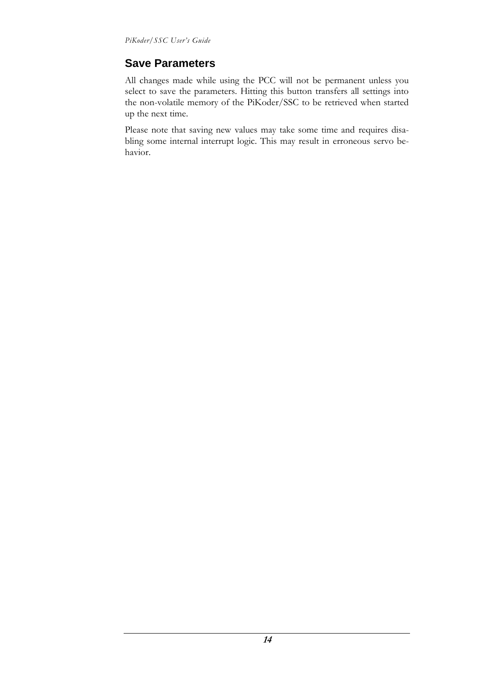### **Save Parameters**

All changes made while using the PCC will not be permanent unless you select to save the parameters. Hitting this button transfers all settings into the non-volatile memory of the PiKoder/SSC to be retrieved when started up the next time.

Please note that saving new values may take some time and requires disabling some internal interrupt logic. This may result in erroneous servo behavior.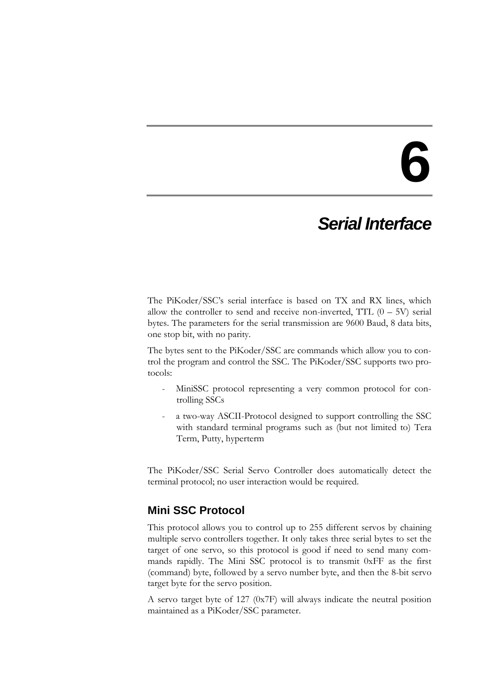## *Serial Interface*

The PiKoder/SSC's serial interface is based on TX and RX lines, which allow the controller to send and receive non-inverted, TTL  $(0 - 5V)$  serial bytes. The parameters for the serial transmission are 9600 Baud, 8 data bits, one stop bit, with no parity.

The bytes sent to the PiKoder/SSC are commands which allow you to control the program and control the SSC. The PiKoder/SSC supports two protocols:

- MiniSSC protocol representing a very common protocol for controlling SSCs
- a two-way ASCII-Protocol designed to support controlling the SSC with standard terminal programs such as (but not limited to) Tera Term, Putty, hyperterm

The PiKoder/SSC Serial Servo Controller does automatically detect the terminal protocol; no user interaction would be required.

### **Mini SSC Protocol**

This protocol allows you to control up to 255 different servos by chaining multiple servo controllers together. It only takes three serial bytes to set the target of one servo, so this protocol is good if need to send many commands rapidly. The Mini SSC protocol is to transmit 0xFF as the first (command) byte, followed by a servo number byte, and then the 8-bit servo target byte for the servo position.

A servo target byte of 127 (0x7F) will always indicate the neutral position maintained as a PiKoder/SSC parameter.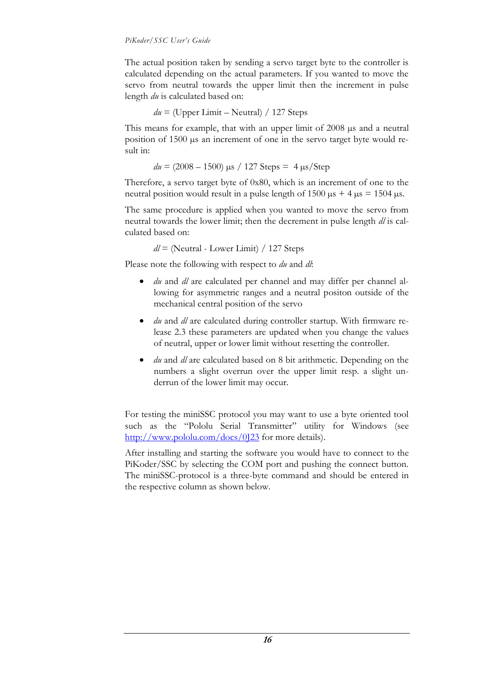The actual position taken by sending a servo target byte to the controller is calculated depending on the actual parameters. If you wanted to move the servo from neutral towards the upper limit then the increment in pulse length *du* is calculated based on:

$$
du =
$$
 (Upper Limit – Neutral) / 127 Steps

This means for example, that with an upper limit of 2008  $\mu$ s and a neutral position of 1500 µs an increment of one in the servo target byte would result in:

 $du = (2008 - 1500)$   $\mu$ s / 127 Steps = 4  $\mu$ s/Step

Therefore, a servo target byte of 0x80, which is an increment of one to the neutral position would result in a pulse length of  $1500 \text{ }\mu\text{s} + 4 \text{ }\mu\text{s} = 1504 \text{ }\mu\text{s}$ .

The same procedure is applied when you wanted to move the servo from neutral towards the lower limit; then the decrement in pulse length *dl* is calculated based on:

*dl* = (Neutral - Lower Limit) / 127 Steps

Please note the following with respect to *du* and *dl*:

- *du* and *dl* are calculated per channel and may differ per channel allowing for asymmetric ranges and a neutral positon outside of the mechanical central position of the servo
- *du* and *dl* are calculated during controller startup. With firmware release 2.3 these parameters are updated when you change the values of neutral, upper or lower limit without resetting the controller.
- *du* and *dl* are calculated based on 8 bit arithmetic. Depending on the numbers a slight overrun over the upper limit resp. a slight underrun of the lower limit may occur.

For testing the miniSSC protocol you may want to use a byte oriented tool such as the "[Pololu Serial Transmitter](http://www.pololu.com/docs/0J23)" utility for Windows (see <http://www.pololu.com/docs/0J23> for more details).

After installing and starting the software you would have to connect to the PiKoder/SSC by selecting the COM port and pushing the connect button. The miniSSC-protocol is a three-byte command and should be entered in the respective column as shown below.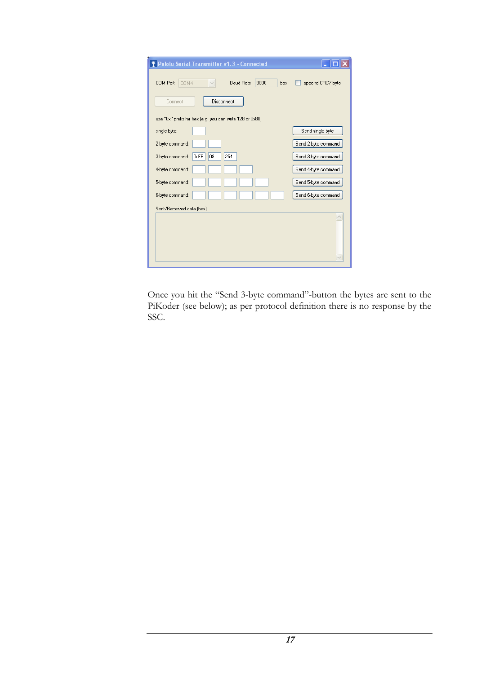| <b>* Pololu Serial Transmitter v1.3 - Connected</b>      |                     |
|----------------------------------------------------------|---------------------|
| COM Port<br>9600<br>COM4<br><b>Baud Rate</b><br>bps      | append CRC7 byte    |
| Connect<br>Disconnect                                    |                     |
| use "0x" prefix for hex [e.g. you can write 128 or 0x80] |                     |
| single byte:                                             | Send single byte    |
| 2-byte command:                                          | Send 2-byte command |
| 0xFF<br>254<br>08<br>3-byte command:                     | Send 3-byte command |
| 4-byte command:                                          | Send 4-byte command |
| 5-byte command:                                          | Send 5-byte command |
| 6-byte command:                                          | Send 6-byte command |
| Sent/Received data (hex):                                |                     |
|                                                          |                     |
|                                                          |                     |
|                                                          |                     |

Once you hit the "Send 3-byte command"-button the bytes are sent to the PiKoder (see below); as per protocol definition there is no response by the SSC.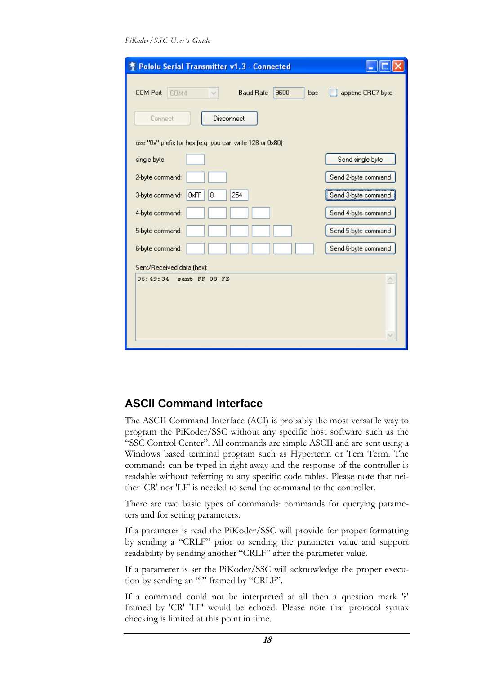*PiKoder/SSC User's Guide*

| <b>Pololu Serial Transmitter v1.3 - Connected</b>        |                            |
|----------------------------------------------------------|----------------------------|
| 9600<br>COM Port<br><b>Baud Rate</b><br>COM4<br>bps      | append CRC7 byte           |
| Disconnect<br>Connect                                    |                            |
| use "0x" prefix for hex (e.g. you can write 128 or 0x80) |                            |
| single byte:                                             | Send single byte           |
| 2-byte command:                                          | Send 2-byte command        |
| 0xFF<br>254<br>3-byte command:<br>8                      | Send 3-byte command        |
| 4-byte command:                                          | Send 4-byte command        |
| 5-byte command:                                          | Send 5-byte command        |
| 6-byte command:                                          | Send 6-byte command        |
| Sent/Received data (hex):                                |                            |
| 06:49:34<br>sent FF 08 FE                                | $\mathcal{A}_{\mathbb{R}}$ |
|                                                          |                            |

### **ASCII Command Interface**

The ASCII Command Interface (ACI) is probably the most versatile way to program the PiKoder/SSC without any specific host software such as the "SSC Control Center". All commands are simple ASCII and are sent using a Windows based terminal program such as Hyperterm or Tera Term. The commands can be typed in right away and the response of the controller is readable without referring to any specific code tables. Please note that neither 'CR' nor 'LF' is needed to send the command to the controller.

There are two basic types of commands: commands for querying parameters and for setting parameters.

If a parameter is read the PiKoder/SSC will provide for proper formatting by sending a "CRLF" prior to sending the parameter value and support readability by sending another "CRLF" after the parameter value.

If a parameter is set the PiKoder/SSC will acknowledge the proper execution by sending an "!" framed by "CRLF".

If a command could not be interpreted at all then a question mark '?' framed by 'CR' 'LF' would be echoed. Please note that protocol syntax checking is limited at this point in time.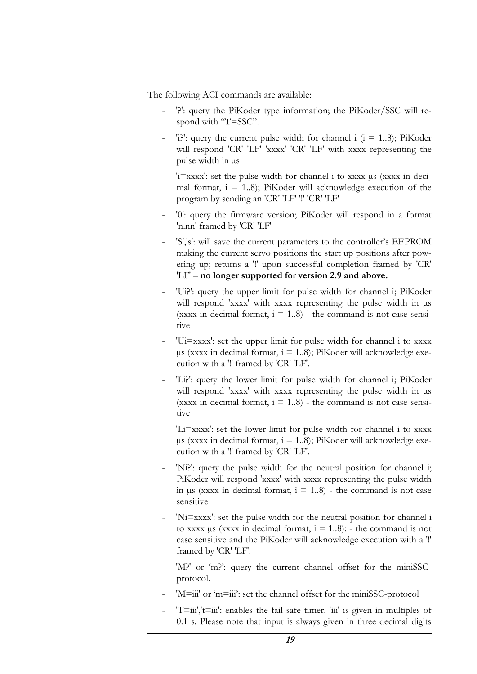The following ACI commands are available:

- '?': query the PiKoder type information; the PiKoder/SSC will respond with "T=SSC".
- 'i?': query the current pulse width for channel i  $(i = 1..8)$ ; PiKoder will respond 'CR' 'LF' 'xxxx' 'CR' 'LF' with xxxx representing the pulse width in µs
- 'i=xxxx': set the pulse width for channel i to xxxx µs (xxxx in decimal format,  $i = 1.8$ ; PiKoder will acknowledge execution of the program by sending an 'CR' 'LF' '!' 'CR' 'LF'
- '0': query the firmware version; PiKoder will respond in a format 'n.nn' framed by 'CR' 'LF'
- 'S','s': will save the current parameters to the controller's EEPROM making the current servo positions the start up positions after powering up; returns a '!' upon successful completion framed by 'CR' 'LF' – **no longer supported for version 2.9 and above.**
- 'Ui?': query the upper limit for pulse width for channel i; PiKoder will respond 'xxxx' with xxxx representing the pulse width in  $\mu s$ (xxxx in decimal format,  $i = 1..8$ ) - the command is not case sensitive
- 'Ui=xxxx': set the upper limit for pulse width for channel i to xxxx  $\mu$ s (xxxx in decimal format, i = 1..8); PiKoder will acknowledge execution with a '!' framed by 'CR' 'LF'.
- 'Li?': query the lower limit for pulse width for channel i; PiKoder will respond 'xxxx' with xxxx representing the pulse width in  $\mu s$ (xxxx in decimal format,  $i = 1.8$ ) - the command is not case sensitive
- 'Li=xxxx': set the lower limit for pulse width for channel i to xxxx  $\mu$ s (xxxx in decimal format, i = 1..8); PiKoder will acknowledge execution with a '!' framed by 'CR' 'LF'.
- 'Ni?': query the pulse width for the neutral position for channel i; PiKoder will respond 'xxxx' with xxxx representing the pulse width in  $\mu$ s (xxxx in decimal format,  $i = 1..8$ ) - the command is not case sensitive
- 'Ni=xxxx': set the pulse width for the neutral position for channel i to xxxx  $\mu$ s (xxxx in decimal format,  $i = 1..8$ ); - the command is not case sensitive and the PiKoder will acknowledge execution with a '!' framed by 'CR' 'LF'.
- 'M?' or 'm?': query the current channel offset for the miniSSCprotocol.
- 'M=iii' or 'm=iii': set the channel offset for the miniSSC-protocol
- $'T=iii';t=iii'$ : enables the fail safe timer. 'iii' is given in multiples of 0.1 s. Please note that input is always given in three decimal digits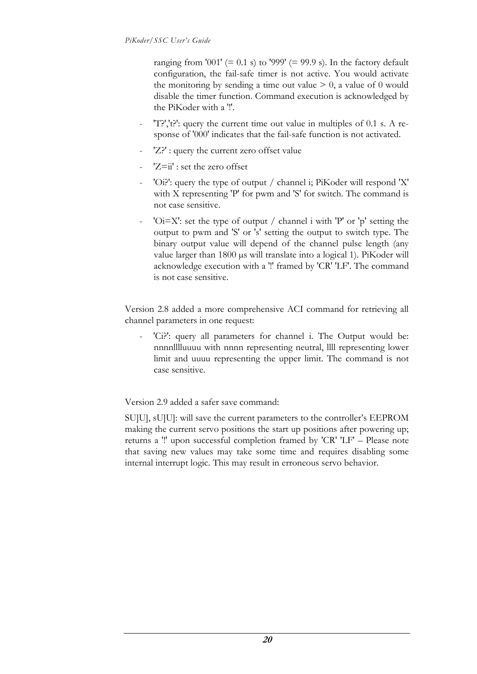ranging from '001' (= 0.1 s) to '999' (= 99.9 s). In the factory default configuration, the fail-safe timer is not active. You would activate the monitoring by sending a time out value  $> 0$ , a value of 0 would disable the timer function. Command execution is acknowledged by the PiKoder with a '!'.

- 'T?','t?': query the current time out value in multiples of 0.1 s. A response of '000' indicates that the fail-safe function is not activated.
- 'Z?' : query the current zero offset value
- $'Z=i'$ : set the zero offset
- 'Oi?': query the type of output / channel i; PiKoder will respond 'X' with X representing 'P' for pwm and 'S' for switch. The command is not case sensitive.
- ' $Oi=X'$ : set the type of output / channel i with 'P' or 'p' setting the output to pwm and 'S' or 's' setting the output to switch type. The binary output value will depend of the channel pulse length (any value larger than 1800 µs will translate into a logical 1). PiKoder will acknowledge execution with a '!' framed by 'CR' 'LF'. The command is not case sensitive.

Version 2.8 added a more comprehensive ACI command for retrieving all channel parameters in one request:

'Ci?': query all parameters for channel i. The Output would be: nnnnlllluuuu with nnnn representing neutral, llll representing lower limit and uuuu representing the upper limit. The command is not case sensitive.

Version 2.9 added a safer save command:

SU]U], sU]U]: will save the current parameters to the controller's EEPROM making the current servo positions the start up positions after powering up; returns a '!' upon successful completion framed by 'CR' 'LF' – Please note that saving new values may take some time and requires disabling some internal interrupt logic. This may result in erroneous servo behavior.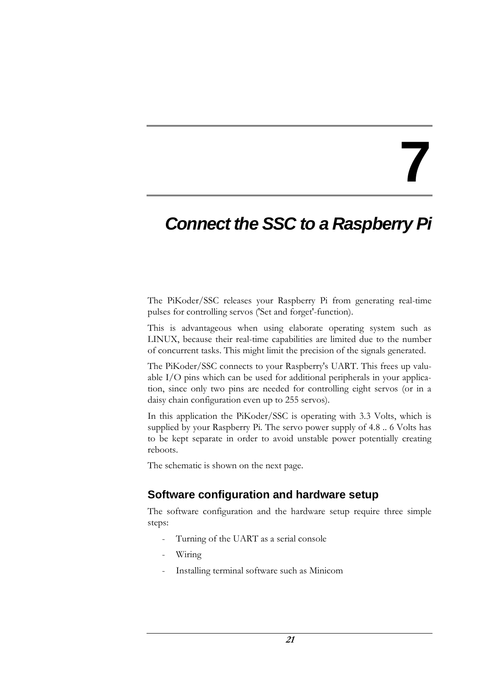## *Connect the SSC to a Raspberry Pi*

The PiKoder/SSC releases your Raspberry Pi from generating real-time pulses for controlling servos ('Set and forget'-function).

This is advantageous when using elaborate operating system such as LINUX, because their real-time capabilities are limited due to the number of concurrent tasks. This might limit the precision of the signals generated.

The PiKoder/SSC connects to your Raspberry's UART. This frees up valuable I/O pins which can be used for additional peripherals in your application, since only two pins are needed for controlling eight servos (or in a daisy chain configuration even up to 255 servos).

In this application the PiKoder/SSC is operating with 3.3 Volts, which is supplied by your Raspberry Pi. The servo power supply of 4.8 .. 6 Volts has to be kept separate in order to avoid unstable power potentially creating reboots.

The schematic is shown on the next page.

### **Software configuration and hardware setup**

The software configuration and the hardware setup require three simple steps:

- Turning of the UART as a serial console
- Wiring
- Installing terminal software such as Minicom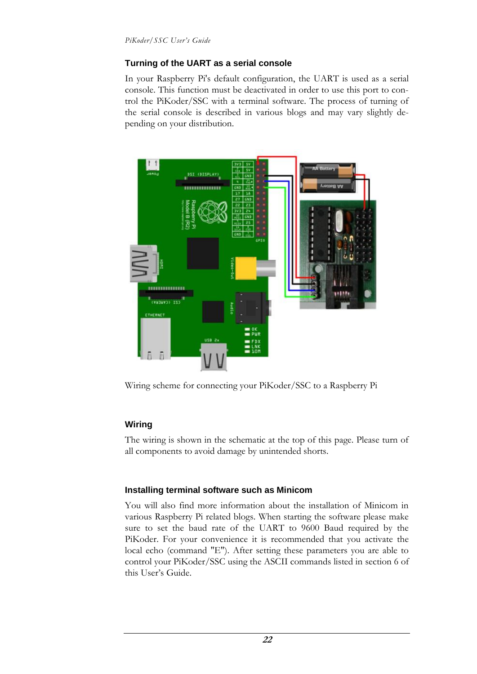#### **Turning of the UART as a serial console**

In your Raspberry Pi's default configuration, the UART is used as a serial console. This function must be deactivated in order to use this port to control the PiKoder/SSC with a terminal software. The process of turning of the serial console is described in various blogs and may vary slightly depending on your distribution.



Wiring scheme for connecting your PiKoder/SSC to a Raspberry Pi

### **Wiring**

The wiring is shown in the schematic at the top of this page. Please turn of all components to avoid damage by unintended shorts.

### **Installing terminal software such as Minicom**

You will also find more information about the installation of Minicom in various Raspberry Pi related blogs. When starting the software please make sure to set the baud rate of the UART to 9600 Baud required by the PiKoder. For your convenience it is recommended that you activate the local echo (command "E"). After setting these parameters you are able to control your PiKoder/SSC using the ASCII commands listed in section 6 of this User's Guide.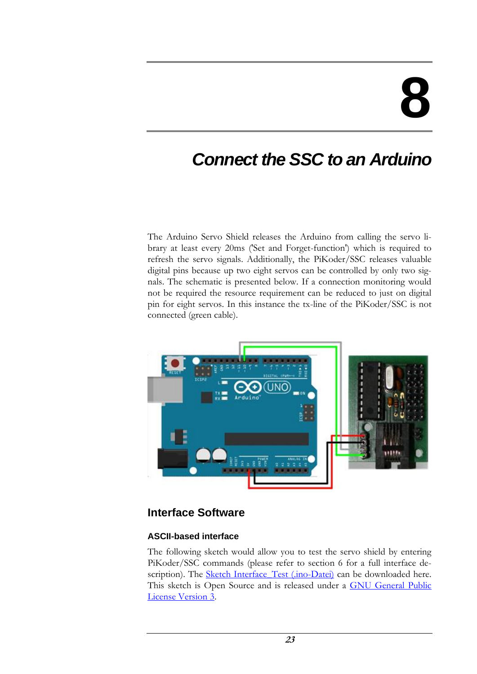## *Connect the SSC to an Arduino*

The Arduino Servo Shield releases the Arduino from calling the servo library at least every 20ms ('Set and Forget-function') which is required to refresh the servo signals. Additionally, the PiKoder/SSC releases valuable digital pins because up two eight servos can be controlled by only two signals. The schematic is presented below. If a connection monitoring would not be required the resource requirement can be reduced to just on digital pin for eight servos. In this instance the tx-line of the PiKoder/SSC is not connected (green cable).



### **Interface Software**

### **ASCII-based interface**

The following sketch would allow you to test the servo shield by entering PiKoder/SSC commands (please refer to section 6 for a full interface de-scription). The [Sketch Interface\\_Test \(.ino-Datei\)](http://www.pikoder.de/download/Interface_Test.zip) can be downloaded here. This sketch is Open Source and is released under a [GNU General Public](http://www.gnu.org/licenses/gpl-3.0-standalone.html)  [License Version 3.](http://www.gnu.org/licenses/gpl-3.0-standalone.html)